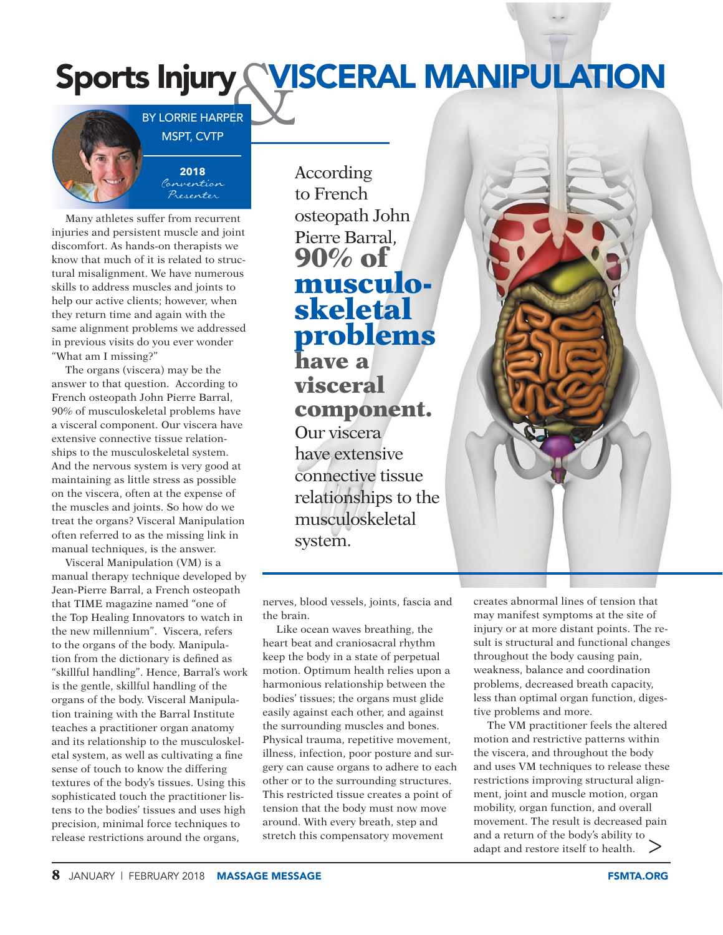## ASK V Sports Injury WISCERAL MANIPULATION

BY LORRIE HARPER MSPT, CVTP

> **2018** Convention Presenter

Many athletes suffer from recurrent injuries and persistent muscle and joint discomfort. As hands-on therapists we know that much of it is related to structural misalignment. We have numerous skills to address muscles and joints to help our active clients; however, when they return time and again with the same alignment problems we addressed in previous visits do you ever wonder "What am I missing?"

The organs (viscera) may be the answer to that question. According to French osteopath John Pierre Barral, 90% of musculoskeletal problems have a visceral component. Our viscera have extensive connective tissue relationships to the musculoskeletal system. And the nervous system is very good at maintaining as little stress as possible on the viscera, often at the expense of the muscles and joints. So how do we treat the organs? Visceral Manipulation often referred to as the missing link in manual techniques, is the answer.

Visceral Manipulation (VM) is a manual therapy technique developed by Jean-Pierre Barral, a French osteopath that TIME magazine named "one of the Top Healing Innovators to watch in the new millennium". Viscera, refers to the organs of the body. Manipulation from the dictionary is defined as "skillful handling". Hence, Barral's work is the gentle, skillful handling of the organs of the body. Visceral Manipulation training with the Barral Institute teaches a practitioner organ anatomy and its relationship to the musculoskeletal system, as well as cultivating a fine sense of touch to know the differing textures of the body's tissues. Using this sophisticated touch the practitioner listens to the bodies' tissues and uses high precision, minimal force techniques to release restrictions around the organs,

According to French osteopath John Pierre Barral, **90% of musculoskeletal problems have a visceral component.** Our viscera have extensive connective tissue relationships to the musculoskeletal system.



nerves, blood vessels, joints, fascia and the brain.

Like ocean waves breathing, the heart beat and craniosacral rhythm keep the body in a state of perpetual motion. Optimum health relies upon a harmonious relationship between the bodies' tissues; the organs must glide easily against each other, and against the surrounding muscles and bones. Physical trauma, repetitive movement, illness, infection, poor posture and surgery can cause organs to adhere to each other or to the surrounding structures. This restricted tissue creates a point of tension that the body must now move around. With every breath, step and stretch this compensatory movement

creates abnormal lines of tension that may manifest symptoms at the site of injury or at more distant points. The result is structural and functional changes throughout the body causing pain, weakness, balance and coordination problems, decreased breath capacity, less than optimal organ function, digestive problems and more.

。<br>> The VM practitioner feels the altered motion and restrictive patterns within the viscera, and throughout the body and uses VM techniques to release these restrictions improving structural alignment, joint and muscle motion, organ mobility, organ function, and overall movement. The result is decreased pain and a return of the body's ability to adapt and restore itself to health.